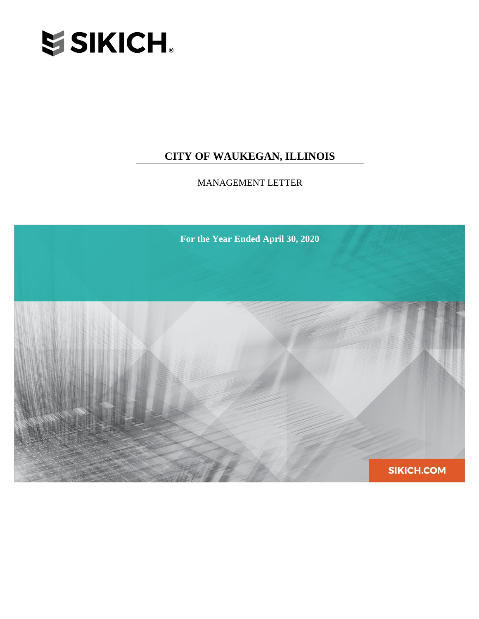

# **CITY OF WAUKEGAN, ILLINOIS**

MANAGEMENT LETTER

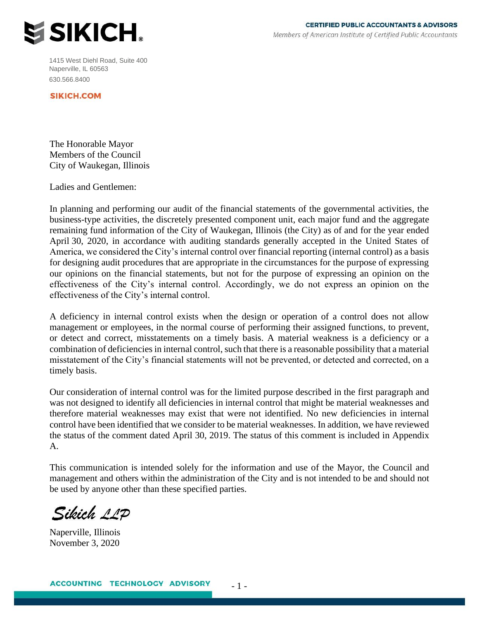

1415 West Diehl Road, Suite 400 Naperville, IL 60563 630.566.8400

**SIKICH.COM** 

The Honorable Mayor Members of the Council City of Waukegan, Illinois

Ladies and Gentlemen:

In planning and performing our audit of the financial statements of the governmental activities, the business-type activities, the discretely presented component unit, each major fund and the aggregate remaining fund information of the City of Waukegan, Illinois (the City) as of and for the year ended April 30, 2020, in accordance with auditing standards generally accepted in the United States of America, we considered the City's internal control over financial reporting (internal control) as a basis for designing audit procedures that are appropriate in the circumstances for the purpose of expressing our opinions on the financial statements, but not for the purpose of expressing an opinion on the effectiveness of the City's internal control. Accordingly, we do not express an opinion on the effectiveness of the City's internal control.

A deficiency in internal control exists when the design or operation of a control does not allow management or employees, in the normal course of performing their assigned functions, to prevent, or detect and correct, misstatements on a timely basis. A material weakness is a deficiency or a combination of deficiencies in internal control, such that there is a reasonable possibility that a material misstatement of the City's financial statements will not be prevented, or detected and corrected, on a timely basis.

Our consideration of internal control was for the limited purpose described in the first paragraph and was not designed to identify all deficiencies in internal control that might be material weaknesses and therefore material weaknesses may exist that were not identified. No new deficiencies in internal control have been identified that we consider to be material weaknesses. In addition, we have reviewed the status of the comment dated April 30, 2019. The status of this comment is included in Appendix A.

This communication is intended solely for the information and use of the Mayor, the Council and management and others within the administration of the City and is not intended to be and should not be used by anyone other than these specified parties.

- 1 -

Sikich 11D

Naperville, Illinois November 3, 2020